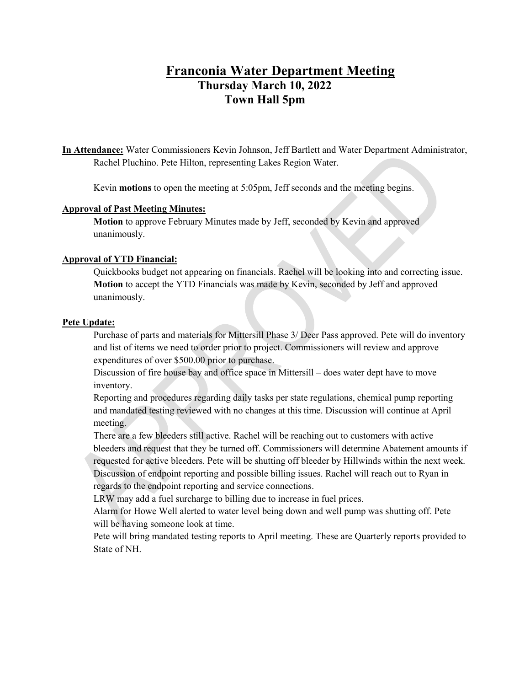# **Franconia Water Department Meeting Thursday March 10, 2022 Town Hall 5pm**

**In Attendance:** Water Commissioners Kevin Johnson, Jeff Bartlett and Water Department Administrator, Rachel Pluchino. Pete Hilton, representing Lakes Region Water.

Kevin **motions** to open the meeting at 5:05pm, Jeff seconds and the meeting begins.

## **Approval of Past Meeting Minutes:**

**Motion** to approve February Minutes made by Jeff, seconded by Kevin and approved unanimously.

# **Approval of YTD Financial:**

Quickbooks budget not appearing on financials. Rachel will be looking into and correcting issue. **Motion** to accept the YTD Financials was made by Kevin, seconded by Jeff and approved unanimously.

### **Pete Update:**

Purchase of parts and materials for Mittersill Phase 3/ Deer Pass approved. Pete will do inventory and list of items we need to order prior to project. Commissioners will review and approve expenditures of over \$500.00 prior to purchase.

Discussion of fire house bay and office space in Mittersill – does water dept have to move inventory.

Reporting and procedures regarding daily tasks per state regulations, chemical pump reporting and mandated testing reviewed with no changes at this time. Discussion will continue at April meeting.

There are a few bleeders still active. Rachel will be reaching out to customers with active bleeders and request that they be turned off. Commissioners will determine Abatement amounts if requested for active bleeders. Pete will be shutting off bleeder by Hillwinds within the next week. Discussion of endpoint reporting and possible billing issues. Rachel will reach out to Ryan in regards to the endpoint reporting and service connections.

LRW may add a fuel surcharge to billing due to increase in fuel prices.

Alarm for Howe Well alerted to water level being down and well pump was shutting off. Pete will be having someone look at time.

Pete will bring mandated testing reports to April meeting. These are Quarterly reports provided to State of NH.